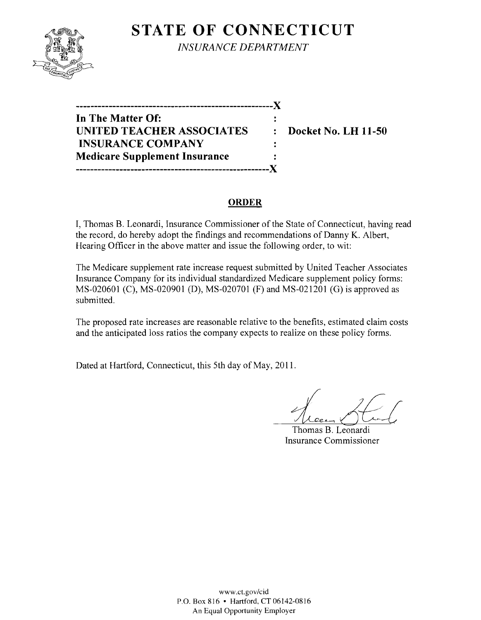

**STATE OF CONNECTICUT** *INSURANCE DEPARTMENT* 

**------------------------------------------------------**)( **In The Matter Of: UNITED TEACHER ASSOCIATES : Docket No. LH 11-50 INSURANCE COMPANY Medicare Supplement Insurance -----------------------------------------------------)(** 

#### **ORDER**

 $\ddot{\cdot}$ 

I, Thomas B. Leonardi, Insurance Commissioner of the State of Connecticut, having read the record, do hereby adopt the findings and recommendations of Danny K. Albert, Hearing Officer in the above matter and issue the following order, to wit:

The Medicare supplement rate increase request submitted by United Teacher Associates Insurance Company for its individual standardized Medicare supplement policy forms: MS-020601 (C), MS-020901 (D), MS-020701 (F) and MS-021201 (G) is approved as submitted.

The proposed rate increases are reasonable relative to the benefits, estimated claim costs and the anticipated loss ratios the company expects to realize on these policy forms.

Dated at Hartford, Connecticut, this 5th day of May, 2011.

*Ld£-r*  Thomas B. Leonardi

Insurance Commissioner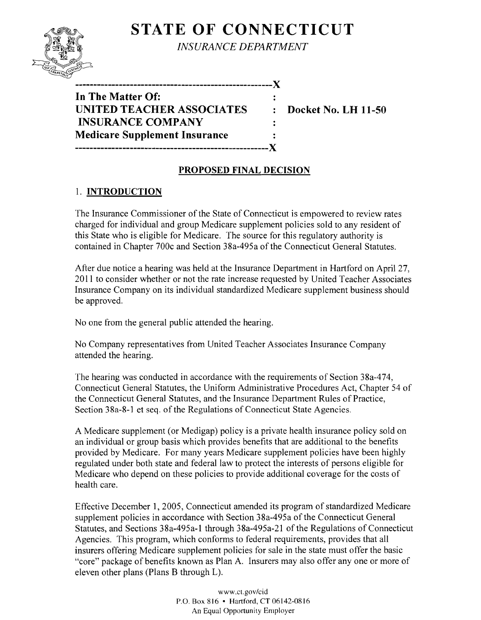# **STATE OF CONNECTICUT**



*INSURANCE DEPARTMENT* 

**------------------------------------------------------**)(

**In The Matter Of: UNITED TEACHER ASSOCIATES : Docket No. LH 11-50 INSURANCE COMPANY Medicare Supplement Insurance -----------------------------------------------------)(** 

## **PROPOSED FINAL DECISION**

 $\ddot{\cdot}$ 

## 1. **INTRODUCTION**

The Insurance Commissioner of the State of Connecticut is empowered to review rates charged for individual and group Medicare supplement policies sold to any resident of this State who is eligible for Medicare. The source for this regulatory authority is contained in Chapter 700c and Section 38a-495a of the Connecticut General Statutes.

After due notice a hearing was held at the Insurance Department in Hartford on April 27, 2011 to consider whether or not the rate increase requested by United Teacher Associates Insurance Company on its individual standardized Medicare supplement business should be approved.

No one from the general public attended the hearing.

No Company representatives from United Teacher Associates Insurance Company attended the hearing.

The hearing was conducted in accordance with the requirements of Section 38a-474, Connecticut General Statutes, the Uniform Administrative Procedures Act, Chapter 54 of the Connecticut General Statutes, and the Insurance Department Rules of Practice, Section 38a-8-1 et seq. of the Regulations of Connecticut State Agencies.

A Medicare supplement (or Medigap) policy is a private health insurance policy sold on an individual or group basis which provides benefits that are additional to the benefits provided by Medicare. For many years Medicare supplement policies have been highly regulated under both state and federal law to protect the interests of persons eligible for Medicare who depend on these policies to provide additional coverage for the costs of health care.

Effective December 1, 2005, Connecticut amended its program of standardized Medicare supplement policies in accordance with Section 38a-495a of the Connecticut General Statutes, and Sections 38a-495a-l through 38a-495a-21 of the Regulations of Connecticut Agencies. This program, which conforms to federal requirements, provides that all insurers offering Medicare supplement policies for sale in the state must offer the basic "core" package of benefits known as Plan A. Insurers may also offer anyone or more of eleven other plans (Plans B through L).

> www.ct.gov/cid P.O. Box 816 • Hartford, CT 06142-0816 An Equal Opportunity Employer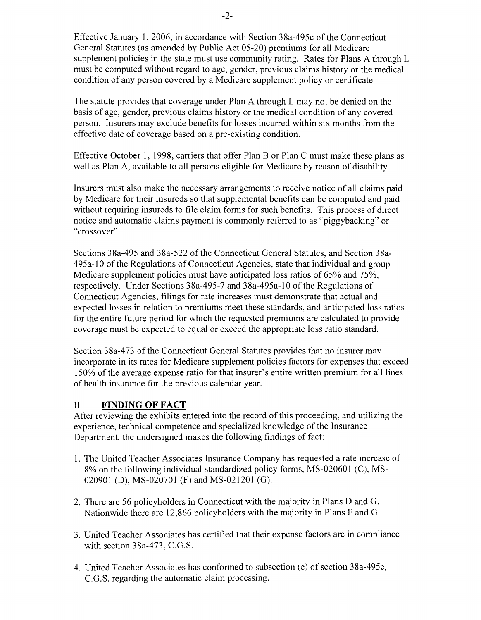Effective January 1,2006, in accordance with Section 38a-495c of the Connecticut General Statutes (as amended by Public Act 05-20) premiums for all Medicare supplement policies in the state must use community rating. Rates for Plans A through L must be computed without regard to age, gender, previous claims history or the medical condition of any person covered by a Medicare supplement policy or certificate.

The statute provides that coverage under Plan A through L may not be denied on the basis of age, gender, previous claims history or the medical condition of any covered person. Insurers may exclude benefits for losses incurred within six months from the effective date of coverage based on a pre-existing condition.

Effective October 1, 1998, carriers that offer Plan B or Plan C must make these plans as well as Plan A, available to all persons eligible for Medicare by reason of disability.

Insurers must also make the necessary arrangements to receive notice of all claims paid by Medicare for their insureds so that supplemental benefits can be computed and paid without requiring insureds to file claim forms for such benefits. This process of direct notice and automatic claims payment is commonly referred to as "piggybacking" or "crossover".

Sections 38a-495 and 38a-522 of the Connecticut General Statutes, and Section 38a-495a-lO of the Regulations of Connecticut Agencies, state that individual and group Medicare supplement policies must have anticipated loss ratios of 65% and 75%, respectively. Under Sections 38a-495-7 and 38a-495a-lO of the Regulations of Connecticut Agencies, filings for rate increases must demonstrate that actual and expected losses in relation to premiums meet these standards, and anticipated loss ratios for the entire future period for which the requested premiums are calculated to provide coverage must be expected to equal or exceed the appropriate loss ratio standard.

Section 38a-473 of the Connecticut General Statutes provides that no insurer may incorporate in its rates for Medicare supplement policies factors for expenses that exceed 150% of the average expense ratio for that insurer's entire written premium for all lines of health insurance for the previous calendar year.

#### II. **FINDING OF FACT**

After reviewing the exhibits entered into the record of this proceeding, and utilizing the experience, technical competence and specialized knowledge of the Insurance Department, the undersigned makes the following findings of fact:

- 1. The United Teacher Associates Insurance Company has requested a rate increase of 8% on the following individual standardized policy forms, MS-02060l (C), MS-020901 (D), MS-02070l (F) and MS-02l20l (G).
- 2. There are 56 policyholders in Connecticut with the majority in Plans D and G. Nationwide there are 12,866 policyholders with the majority in Plans F and G.
- 3. United Teacher Associates has certified that their expense factors are in compliance with section 38a-473, C.G.S.
- 4. United Teacher Associates has conformed to subsection (e) of section 38a-495c, C.G.S. regarding the automatic claim processing.